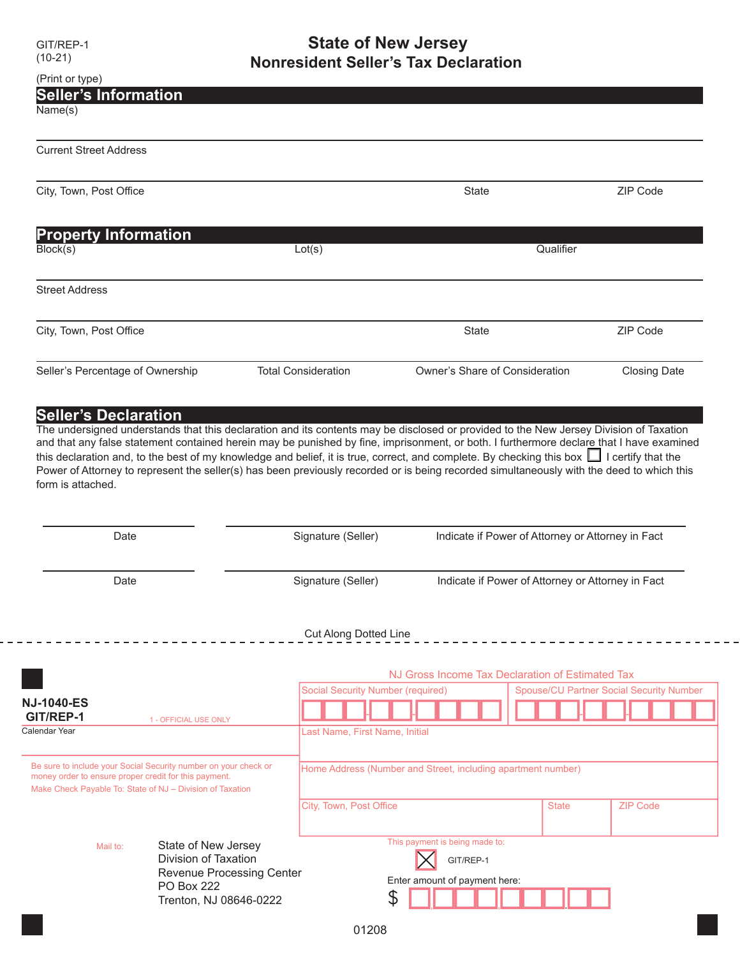## GIT/REP-1 **State of New Jersey**

|                                                                                                                                                                                                                                                                                                                                                                                                                                                                                                                                                                                                                                                                                           | <b>Nonresident Seller's Tax Declaration</b> |                                                              |  |                                                 |
|-------------------------------------------------------------------------------------------------------------------------------------------------------------------------------------------------------------------------------------------------------------------------------------------------------------------------------------------------------------------------------------------------------------------------------------------------------------------------------------------------------------------------------------------------------------------------------------------------------------------------------------------------------------------------------------------|---------------------------------------------|--------------------------------------------------------------|--|-------------------------------------------------|
| (Print or type)                                                                                                                                                                                                                                                                                                                                                                                                                                                                                                                                                                                                                                                                           |                                             |                                                              |  |                                                 |
| <b>Seller's Information</b><br>Name(s)                                                                                                                                                                                                                                                                                                                                                                                                                                                                                                                                                                                                                                                    |                                             |                                                              |  |                                                 |
|                                                                                                                                                                                                                                                                                                                                                                                                                                                                                                                                                                                                                                                                                           |                                             |                                                              |  |                                                 |
| <b>Current Street Address</b>                                                                                                                                                                                                                                                                                                                                                                                                                                                                                                                                                                                                                                                             |                                             |                                                              |  |                                                 |
|                                                                                                                                                                                                                                                                                                                                                                                                                                                                                                                                                                                                                                                                                           |                                             |                                                              |  |                                                 |
| City, Town, Post Office                                                                                                                                                                                                                                                                                                                                                                                                                                                                                                                                                                                                                                                                   |                                             | <b>State</b>                                                 |  | ZIP Code                                        |
|                                                                                                                                                                                                                                                                                                                                                                                                                                                                                                                                                                                                                                                                                           |                                             |                                                              |  |                                                 |
| <b>Property Information</b>                                                                                                                                                                                                                                                                                                                                                                                                                                                                                                                                                                                                                                                               |                                             |                                                              |  |                                                 |
| Block(s)                                                                                                                                                                                                                                                                                                                                                                                                                                                                                                                                                                                                                                                                                  | Lot(s)                                      | Qualifier                                                    |  |                                                 |
|                                                                                                                                                                                                                                                                                                                                                                                                                                                                                                                                                                                                                                                                                           |                                             |                                                              |  |                                                 |
| <b>Street Address</b>                                                                                                                                                                                                                                                                                                                                                                                                                                                                                                                                                                                                                                                                     |                                             |                                                              |  |                                                 |
| City, Town, Post Office                                                                                                                                                                                                                                                                                                                                                                                                                                                                                                                                                                                                                                                                   |                                             | State                                                        |  | ZIP Code                                        |
|                                                                                                                                                                                                                                                                                                                                                                                                                                                                                                                                                                                                                                                                                           |                                             |                                                              |  |                                                 |
| Seller's Percentage of Ownership                                                                                                                                                                                                                                                                                                                                                                                                                                                                                                                                                                                                                                                          | <b>Total Consideration</b>                  | Owner's Share of Consideration                               |  | <b>Closing Date</b>                             |
|                                                                                                                                                                                                                                                                                                                                                                                                                                                                                                                                                                                                                                                                                           |                                             |                                                              |  |                                                 |
|                                                                                                                                                                                                                                                                                                                                                                                                                                                                                                                                                                                                                                                                                           |                                             |                                                              |  |                                                 |
|                                                                                                                                                                                                                                                                                                                                                                                                                                                                                                                                                                                                                                                                                           |                                             |                                                              |  |                                                 |
| Date                                                                                                                                                                                                                                                                                                                                                                                                                                                                                                                                                                                                                                                                                      | Signature (Seller)                          | Indicate if Power of Attorney or Attorney in Fact            |  |                                                 |
| Date                                                                                                                                                                                                                                                                                                                                                                                                                                                                                                                                                                                                                                                                                      | Signature (Seller)                          | Indicate if Power of Attorney or Attorney in Fact            |  |                                                 |
|                                                                                                                                                                                                                                                                                                                                                                                                                                                                                                                                                                                                                                                                                           | <b>Cut Along Dotted Line</b>                |                                                              |  |                                                 |
|                                                                                                                                                                                                                                                                                                                                                                                                                                                                                                                                                                                                                                                                                           |                                             |                                                              |  |                                                 |
|                                                                                                                                                                                                                                                                                                                                                                                                                                                                                                                                                                                                                                                                                           |                                             | NJ Gross Income Tax Declaration of Estimated Tax             |  |                                                 |
|                                                                                                                                                                                                                                                                                                                                                                                                                                                                                                                                                                                                                                                                                           | <b>Social Security Number (required)</b>    |                                                              |  | <b>Spouse/CU Partner Social Security Number</b> |
| 1 - OFFICIAL USE ONLY                                                                                                                                                                                                                                                                                                                                                                                                                                                                                                                                                                                                                                                                     |                                             |                                                              |  |                                                 |
| <b>Seller's Declaration</b><br>The undersigned understands that this declaration and its contents may be disclosed or provided to the New Jersey Division of Taxation<br>and that any false statement contained herein may be punished by fine, imprisonment, or both. I furthermore declare that I have examined<br>this declaration and, to the best of my knowledge and belief, it is true, correct, and complete. By checking this box $\Box$ I certify that the<br>Power of Attorney to represent the seller(s) has been previously recorded or is being recorded simultaneously with the deed to which this<br>form is attached.<br><b>NJ-1040-ES</b><br>GIT/REP-1<br>Calendar Year | Last Name, First Name, Initial              |                                                              |  |                                                 |
| Be sure to include your Social Security number on your check or                                                                                                                                                                                                                                                                                                                                                                                                                                                                                                                                                                                                                           |                                             | Home Address (Number and Street, including apartment number) |  |                                                 |
| money order to ensure proper credit for this payment.<br>Make Check Payable To: State of NJ - Division of Taxation                                                                                                                                                                                                                                                                                                                                                                                                                                                                                                                                                                        |                                             |                                                              |  |                                                 |

Mail to: State of New Jersey Division of Taxation Revenue Processing Center PO Box 222 Trenton, NJ 08646-0222

Enter amount of payment here:

GIT/REP-1

This payment is being made to:

 $\bm{\mathsf{X}}$ 

\$ , , .